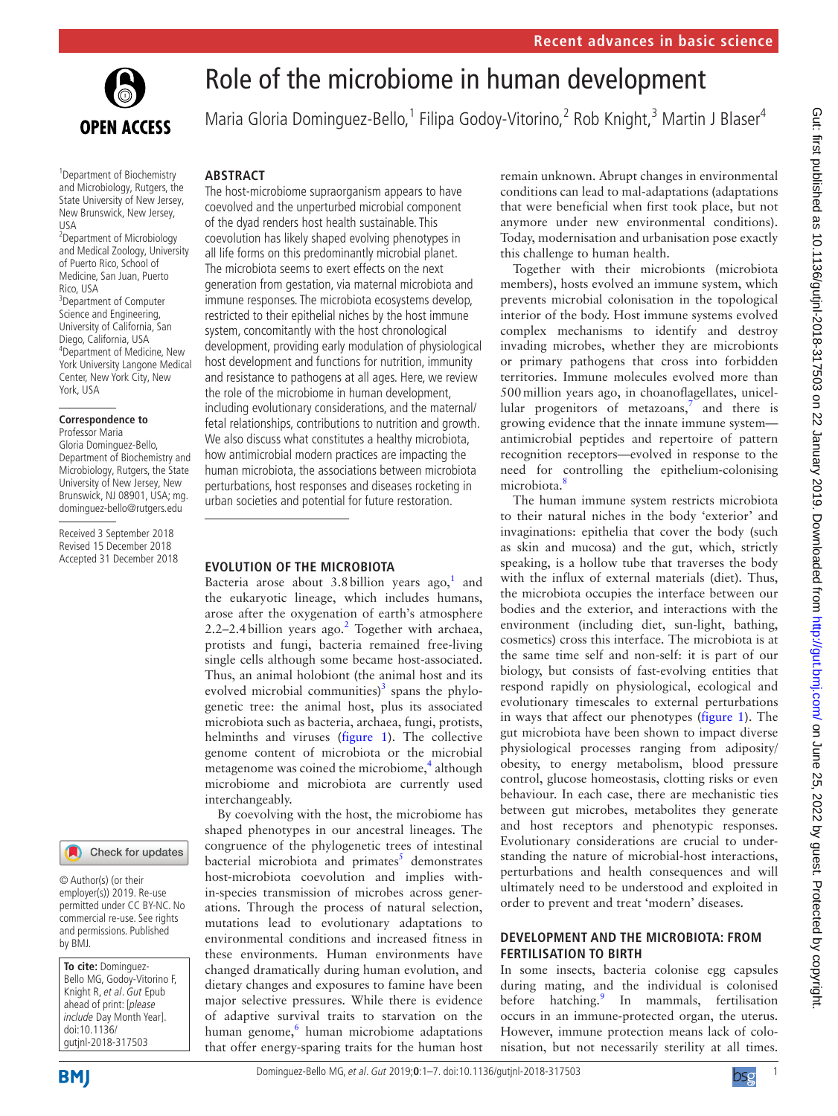

# Role of the microbiome in human development

Maria Gloria Dominguez-Bello,<sup>1</sup> Filipa Godoy-Vitorino,<sup>2</sup> Rob Knight,<sup>3</sup> Martin J Blaser<sup>4</sup>

## **Abstract**

and Microbiology, Rutgers, the State University of New Jersey, New Brunswick, New Jersey, USA 2 Department of Microbiology and Medical Zoology, University of Puerto Rico, School of

1 Department of Biochemistry

Medicine, San Juan, Puerto Rico, USA <sup>3</sup>Department of Computer Science and Engineering, University of California, San Diego, California, USA 4 Department of Medicine, New York University Langone Medical Center, New York City, New York, USA

#### **Correspondence to** Professor Maria

Gloria Dominguez-Bello, Department of Biochemistry and Microbiology, Rutgers, the State University of New Jersey, New Brunswick, NJ 08901, USA; mg. dominguez-bello@rutgers.edu

Received 3 September 2018 Revised 15 December 2018 Accepted 31 December 2018

#### Check for updates

© Author(s) (or their employer(s)) 2019. Re-use permitted under CC BY-NC. No commercial re-use. See rights and permissions. Published by BMJ.

**To cite:** Dominguez-Bello MG, Godoy-Vitorino F, Knight R, et al. Gut Epub ahead of print: [please include Day Month Year]. doi:10.1136/ gutjnl-2018-317503

The host-microbiome supraorganism appears to have coevolved and the unperturbed microbial component of the dyad renders host health sustainable. This coevolution has likely shaped evolving phenotypes in all life forms on this predominantly microbial planet. The microbiota seems to exert effects on the next generation from gestation, via maternal microbiota and immune responses. The microbiota ecosystems develop, restricted to their epithelial niches by the host immune system, concomitantly with the host chronological development, providing early modulation of physiological host development and functions for nutrition, immunity and resistance to pathogens at all ages. Here, we review the role of the microbiome in human development, including evolutionary considerations, and the maternal/ fetal relationships, contributions to nutrition and growth. We also discuss what constitutes a healthy microbiota, how antimicrobial modern practices are impacting the human microbiota, the associations between microbiota perturbations, host responses and diseases rocketing in urban societies and potential for future restoration.

#### **Evolution of the microbiota**

Bacteria arose about 3.8 billion years ago,<sup>[1](#page-5-0)</sup> and the eukaryotic lineage, which includes humans, arose after the oxygenation of earth's atmosphere [2](#page-5-1).2–2.4 billion years ago. $2$  Together with archaea, protists and fungi, bacteria remained free-living single cells although some became host-associated. Thus, an animal holobiont (the animal host and its evolved microbial communities) $3$  spans the phylogenetic tree: the animal host, plus its associated microbiota such as bacteria, archaea, fungi, protists, helminths and viruses ([figure](#page-1-0) 1). The collective genome content of microbiota or the microbial metagenome was coined the microbiome,<sup>[4](#page-5-3)</sup> although microbiome and microbiota are currently used interchangeably.

By coevolving with the host, the microbiome has shaped phenotypes in our ancestral lineages. The congruence of the phylogenetic trees of intestinal bacterial microbiota and primates<sup>[5](#page-5-4)</sup> demonstrates host-microbiota coevolution and implies within-species transmission of microbes across generations. Through the process of natural selection, mutations lead to evolutionary adaptations to environmental conditions and increased fitness in these environments. Human environments have changed dramatically during human evolution, and dietary changes and exposures to famine have been major selective pressures. While there is evidence of adaptive survival traits to starvation on the human genome,<sup>[6](#page-5-5)</sup> human microbiome adaptations that offer energy-sparing traits for the human host

remain unknown. Abrupt changes in environmental conditions can lead to mal-adaptations (adaptations that were beneficial when first took place, but not anymore under new environmental conditions). Today, modernisation and urbanisation pose exactly this challenge to human health.

Together with their microbionts (microbiota members), hosts evolved an immune system, which prevents microbial colonisation in the topological interior of the body. Host immune systems evolved complex mechanisms to identify and destroy invading microbes, whether they are microbionts or primary pathogens that cross into forbidden territories. Immune molecules evolved more than 500million years ago, in choanoflagellates, unicellular progenitors of metazoans, $7$  and there is growing evidence that the innate immune system antimicrobial peptides and repertoire of pattern recognition receptors—evolved in response to the need for controlling the epithelium-colonising microbiota.<sup>[8](#page-5-7)</sup>

The human immune system restricts microbiota to their natural niches in the body 'exterior' and invaginations: epithelia that cover the body (such as skin and mucosa) and the gut, which, strictly speaking, is a hollow tube that traverses the body with the influx of external materials (diet). Thus, the microbiota occupies the interface between our bodies and the exterior, and interactions with the environment (including diet, sun-light, bathing, cosmetics) cross this interface. The microbiota is at the same time self and non-self: it is part of our biology, but consists of fast-evolving entities that respond rapidly on physiological, ecological and evolutionary timescales to external perturbations in ways that affect our phenotypes ([figure](#page-1-0) 1). The gut microbiota have been shown to impact diverse physiological processes ranging from adiposity/ obesity, to energy metabolism, blood pressure control, glucose homeostasis, clotting risks or even behaviour. In each case, there are mechanistic ties between gut microbes, metabolites they generate and host receptors and phenotypic responses. Evolutionary considerations are crucial to understanding the nature of microbial-host interactions, perturbations and health consequences and will ultimately need to be understood and exploited in order to prevent and treat 'modern' diseases.

### **Development and the microbiota : from fertilisation to birth**

In some insects, bacteria colonise egg capsules during mating, and the individual is colonised before hatching.<sup>[9](#page-5-8)</sup> In mammals, fertilisation occurs in an immune-protected organ, the uterus. However, immune protection means lack of colonisation, but not necessarily sterility at all times.

Dominguez-Bello MG, et al. Gut 2019;**0**:1–7. doi:10.1136/gutjnl-2018-3175031

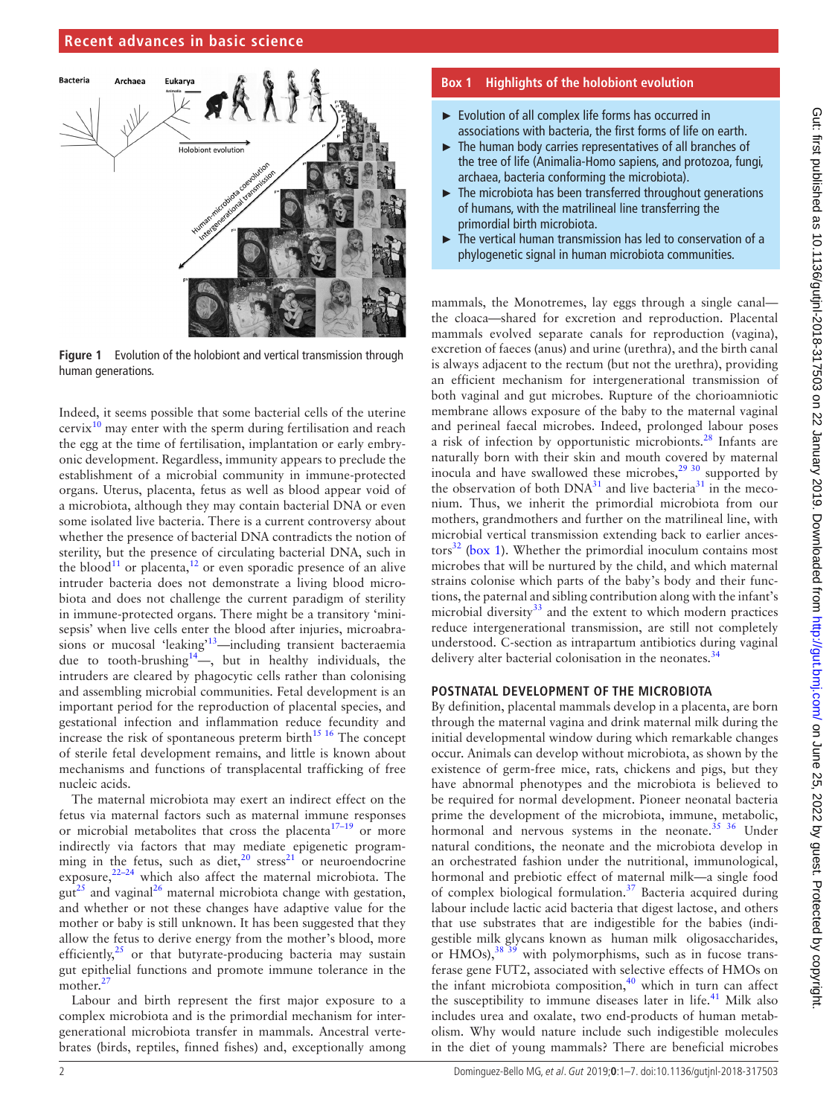#### **Recent advances in basic science**



<span id="page-1-0"></span>**Figure 1** Evolution of the holobiont and vertical transmission through human generations.

Indeed, it seems possible that some bacterial cells of the uterine  $c$ ervix $^{10}$  $^{10}$  $^{10}$  may enter with the sperm during fertilisation and reach the egg at the time of fertilisation, implantation or early embryonic development. Regardless, immunity appears to preclude the establishment of a microbial community in immune-protected organs. Uterus, placenta, fetus as well as blood appear void of a microbiota, although they may contain bacterial DNA or even some isolated live bacteria. There is a current controversy about whether the presence of bacterial DNA contradicts the notion of sterility, but the presence of circulating bacterial DNA, such in the blood<sup>11</sup> or placenta,<sup>[12](#page-5-11)</sup> or even sporadic presence of an alive intruder bacteria does not demonstrate a living blood microbiota and does not challenge the current paradigm of sterility in immune-protected organs. There might be a transitory 'minisepsis' when live cells enter the blood after injuries, microabrasions or mucosal 'leaking'<sup>13</sup>—including transient bacteraemia due to tooth-brushing<sup>14</sup>—, but in healthy individuals, the intruders are cleared by phagocytic cells rather than colonising and assembling microbial communities. Fetal development is an important period for the reproduction of placental species, and gestational infection and inflammation reduce fecundity and increase the risk of spontaneous preterm birth $^{15}$  <sup>16</sup> The concept of sterile fetal development remains, and little is known about mechanisms and functions of transplacental trafficking of free nucleic acids.

The maternal microbiota may exert an indirect effect on the fetus via maternal factors such as maternal immune responses or microbial metabolites that cross the placenta<sup>17-19</sup> or more indirectly via factors that may mediate epigenetic programming in the fetus, such as diet, $20 \text{ stress}^{21}$  $20 \text{ stress}^{21}$  or neuroendocrine exposure, $2^{2-24}$  which also affect the maternal microbiota. The  $gut^{25}$  and vaginal<sup>26</sup> maternal microbiota change with gestation, and whether or not these changes have adaptive value for the mother or baby is still unknown. It has been suggested that they allow the fetus to derive energy from the mother's blood, more efficiently, $25$  or that butyrate-producing bacteria may sustain gut epithelial functions and promote immune tolerance in the mother. $27$ 

Labour and birth represent the first major exposure to a complex microbiota and is the primordial mechanism for intergenerational microbiota transfer in mammals. Ancestral vertebrates (birds, reptiles, finned fishes) and, exceptionally among

#### **Box 1 Highlights of the holobiont evolution**

- <span id="page-1-1"></span>► Evolution of all complex life forms has occurred in associations with bacteria, the first forms of life on earth.
- ► The human body carries representatives of all branches of the tree of life (Animalia-Homo sapiens, and protozoa, fungi, archaea, bacteria conforming the microbiota).
- ► The microbiota has been transferred throughout generations of humans, with the matrilineal line transferring the primordial birth microbiota.
- ► The vertical human transmission has led to conservation of a phylogenetic signal in human microbiota communities.

mammals, the Monotremes, lay eggs through a single canal the cloaca—shared for excretion and reproduction. Placental mammals evolved separate canals for reproduction (vagina), excretion of faeces (anus) and urine (urethra), and the birth canal is always adjacent to the rectum (but not the urethra), providing an efficient mechanism for intergenerational transmission of both vaginal and gut microbes. Rupture of the chorioamniotic membrane allows exposure of the baby to the maternal vaginal and perineal faecal microbes. Indeed, prolonged labour poses a risk of infection by opportunistic microbionts.<sup>28</sup> Infants are naturally born with their skin and mouth covered by maternal inocula and have swallowed these microbes,<sup>29 30</sup> supported by the observation of both  $DNA^{31}$  $DNA^{31}$  $DNA^{31}$  and live bacteria<sup>31</sup> in the meconium. Thus, we inherit the primordial microbiota from our mothers, grandmothers and further on the matrilineal line, with microbial vertical transmission extending back to earlier ances- $\cos^{32}$  $\cos^{32}$  $\cos^{32}$  [\(box](#page-1-1) 1). Whether the primordial inoculum contains most microbes that will be nurtured by the child, and which maternal strains colonise which parts of the baby's body and their functions, the paternal and sibling contribution along with the infant's microbial diversity $33$  and the extent to which modern practices reduce intergenerational transmission, are still not completely understood. C-section as intrapartum antibiotics during vaginal delivery alter bacterial colonisation in the neonates.<sup>[34](#page-5-27)</sup>

#### **Postnatal development of the microbiota**

By definition, placental mammals develop in a placenta, are born through the maternal vagina and drink maternal milk during the initial developmental window during which remarkable changes occur. Animals can develop without microbiota, as shown by the existence of germ-free mice, rats, chickens and pigs, but they have abnormal phenotypes and the microbiota is believed to be required for normal development. Pioneer neonatal bacteria prime the development of the microbiota, immune, metabolic, hormonal and nervous systems in the neonate. $35\,36$  Under natural conditions, the neonate and the microbiota develop in an orchestrated fashion under the nutritional, immunological, hormonal and prebiotic effect of maternal milk—a single food of complex biological formulation.<sup>37</sup> Bacteria acquired during labour include lactic acid bacteria that digest lactose, and others that use substrates that are indigestible for the babies (indigestible milk glycans known as human milk oligosaccharides, or HMOs),<sup>[38 39](#page-5-30)</sup> with polymorphisms, such as in fucose transferase gene FUT2, associated with selective effects of HMOs on the infant microbiota composition, $40$  which in turn can affect the susceptibility to immune diseases later in life.<sup>41</sup> Milk also includes urea and oxalate, two end-products of human metabolism. Why would nature include such indigestible molecules in the diet of young mammals? There are beneficial microbes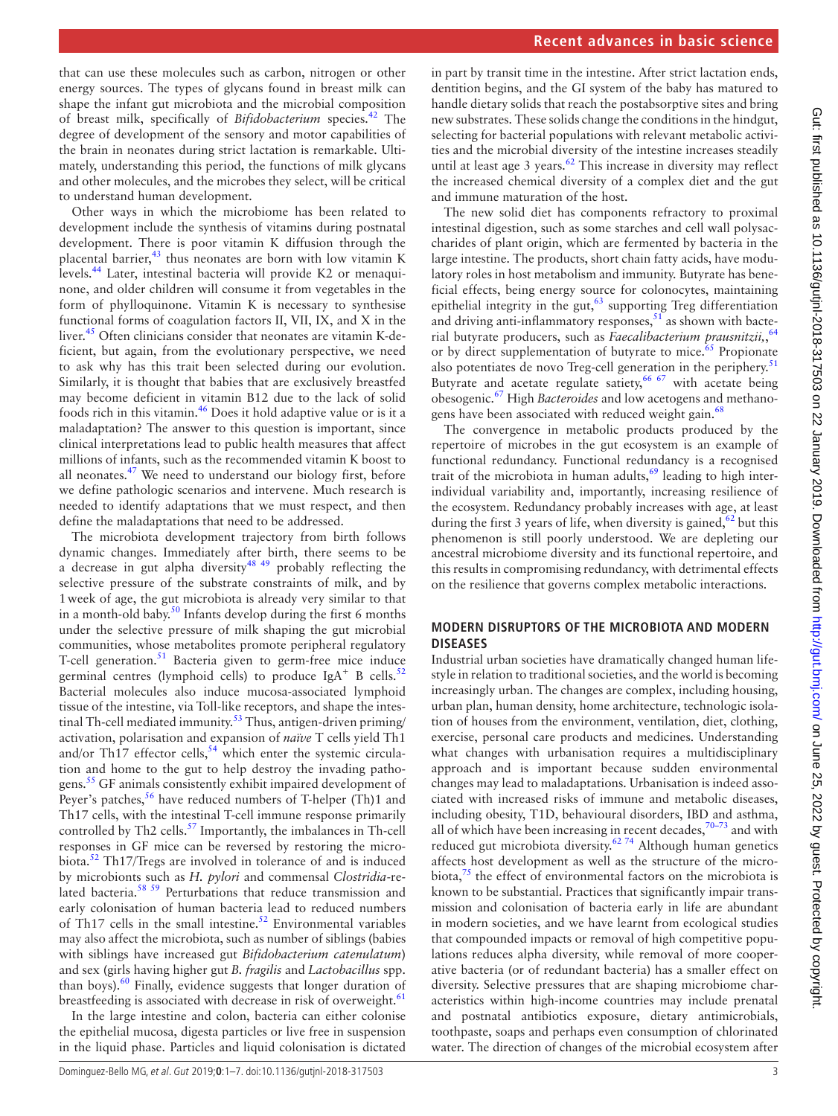that can use these molecules such as carbon, nitrogen or other energy sources. The types of glycans found in breast milk can shape the infant gut microbiota and the microbial composition of breast milk, specifically of *Bifidobacterium* species.[42](#page-5-33) The degree of development of the sensory and motor capabilities of the brain in neonates during strict lactation is remarkable. Ultimately, understanding this period, the functions of milk glycans and other molecules, and the microbes they select, will be critical to understand human development.

Other ways in which the microbiome has been related to development include the synthesis of vitamins during postnatal development. There is poor vitamin K diffusion through the placental barrier, $43$  thus neonates are born with low vitamin K levels.[44](#page-5-35) Later, intestinal bacteria will provide K2 or menaquinone, and older children will consume it from vegetables in the form of phylloquinone. Vitamin K is necessary to synthesise functional forms of coagulation factors II, VII, IX, and X in the liver.<sup>45</sup> Often clinicians consider that neonates are vitamin K-deficient, but again, from the evolutionary perspective, we need to ask why has this trait been selected during our evolution. Similarly, it is thought that babies that are exclusively breastfed may become deficient in vitamin B12 due to the lack of solid foods rich in this vitamin.[46](#page-5-37) Does it hold adaptive value or is it a maladaptation? The answer to this question is important, since clinical interpretations lead to public health measures that affect millions of infants, such as the recommended vitamin K boost to all neonates.[47](#page-5-38) We need to understand our biology first, before we define pathologic scenarios and intervene. Much research is needed to identify adaptations that we must respect, and then define the maladaptations that need to be addressed.

The microbiota development trajectory from birth follows dynamic changes. Immediately after birth, there seems to be a decrease in gut alpha diversity $4849$  probably reflecting the selective pressure of the substrate constraints of milk, and by 1week of age, the gut microbiota is already very similar to that in a month-old baby.<sup>[50](#page-6-1)</sup> Infants develop during the first 6 months under the selective pressure of milk shaping the gut microbial communities, whose metabolites promote peripheral regulatory T-cell generation.<sup>[51](#page-6-2)</sup> Bacteria given to germ-free mice induce germinal centres (lymphoid cells) to produce  $IgA^+ B$  cells.<sup>[52](#page-6-3)</sup> Bacterial molecules also induce mucosa-associated lymphoid tissue of the intestine, via Toll-like receptors, and shape the intestinal Th-cell mediated immunity.<sup>53</sup> Thus, antigen-driven priming/ activation, polarisation and expansion of *naïve* T cells yield Th1 and/or Th17 effector cells, $54$  which enter the systemic circulation and home to the gut to help destroy the invading patho-gens.<sup>[55](#page-6-6)</sup> GF animals consistently exhibit impaired development of Peyer's patches,  $56$  have reduced numbers of T-helper (Th)1 and Th17 cells, with the intestinal T-cell immune response primarily controlled by Th2 cells.<sup>57</sup> Importantly, the imbalances in Th-cell responses in GF mice can be reversed by restoring the microbiota.[52](#page-6-3) Th17/Tregs are involved in tolerance of and is induced by microbionts such as *H. pylori* and commensal *Clostridia*-related bacteria.<sup>58 59</sup> Perturbations that reduce transmission and early colonisation of human bacteria lead to reduced numbers of Th17 cells in the small intestine.<sup>52</sup> Environmental variables may also affect the microbiota, such as number of siblings (babies with siblings have increased gut *Bifidobacterium catenulatum*) and sex (girls having higher gut *B. fragilis* and *Lactobacillus* spp. than boys). $60$  Finally, evidence suggests that longer duration of breastfeeding is associated with decrease in risk of overweight. $61$ 

In the large intestine and colon, bacteria can either colonise the epithelial mucosa, digesta particles or live free in suspension in the liquid phase. Particles and liquid colonisation is dictated

in part by transit time in the intestine. After strict lactation ends, dentition begins, and the GI system of the baby has matured to handle dietary solids that reach the postabsorptive sites and bring new substrates. These solids change the conditions in the hindgut, selecting for bacterial populations with relevant metabolic activities and the microbial diversity of the intestine increases steadily until at least age 3 years.<sup>62</sup> This increase in diversity may reflect the increased chemical diversity of a complex diet and the gut and immune maturation of the host.

The new solid diet has components refractory to proximal intestinal digestion, such as some starches and cell wall polysaccharides of plant origin, which are fermented by bacteria in the large intestine. The products, short chain fatty acids, have modulatory roles in host metabolism and immunity. Butyrate has beneficial effects, being energy source for colonocytes, maintaining epithelial integrity in the gut, $63$  supporting Treg differentiation and driving anti-inflammatory responses,  $51$  as shown with bacterial butyrate producers, such as *Faecalibacterium prausnitzii,*, [64](#page-6-14) or by direct supplementation of butyrate to mice.<sup>65</sup> Propionate also potentiates de novo Treg-cell generation in the periphery. $51$ Butyrate and acetate regulate satiety,<sup>66 67</sup> with acetate being obesogenic.[67](#page-6-17) High *Bacteroides* and low acetogens and methanogens have been associated with reduced weight gain.<sup>68</sup>

The convergence in metabolic products produced by the repertoire of microbes in the gut ecosystem is an example of functional redundancy. Functional redundancy is a recognised trait of the microbiota in human adults, $69$  leading to high interindividual variability and, importantly, increasing resilience of the ecosystem. Redundancy probably increases with age, at least during the first 3 years of life, when diversity is gained,  $62$  but this phenomenon is still poorly understood. We are depleting our ancestral microbiome diversity and its functional repertoire, and this results in compromising redundancy, with detrimental effects on the resilience that governs complex metabolic interactions.

#### **Modern disruptors of the microbiota and modern diseases**

Industrial urban societies have dramatically changed human lifestyle in relation to traditional societies, and the world is becoming increasingly urban. The changes are complex, including housing, urban plan, human density, home architecture, technologic isolation of houses from the environment, ventilation, diet, clothing, exercise, personal care products and medicines. Understanding what changes with urbanisation requires a multidisciplinary approach and is important because sudden environmental changes may lead to maladaptations. Urbanisation is indeed associated with increased risks of immune and metabolic diseases, including obesity, T1D, behavioural disorders, IBD and asthma, all of which have been increasing in recent decades, $70-73$  and with reduced gut microbiota diversity.<sup>62 74</sup> Although human genetics affects host development as well as the structure of the microbiota, $7<sup>5</sup>$  the effect of environmental factors on the microbiota is known to be substantial. Practices that significantly impair transmission and colonisation of bacteria early in life are abundant in modern societies, and we have learnt from ecological studies that compounded impacts or removal of high competitive populations reduces alpha diversity, while removal of more cooperative bacteria (or of redundant bacteria) has a smaller effect on diversity. Selective pressures that are shaping microbiome characteristics within high-income countries may include prenatal and postnatal antibiotics exposure, dietary antimicrobials, toothpaste, soaps and perhaps even consumption of chlorinated water. The direction of changes of the microbial ecosystem after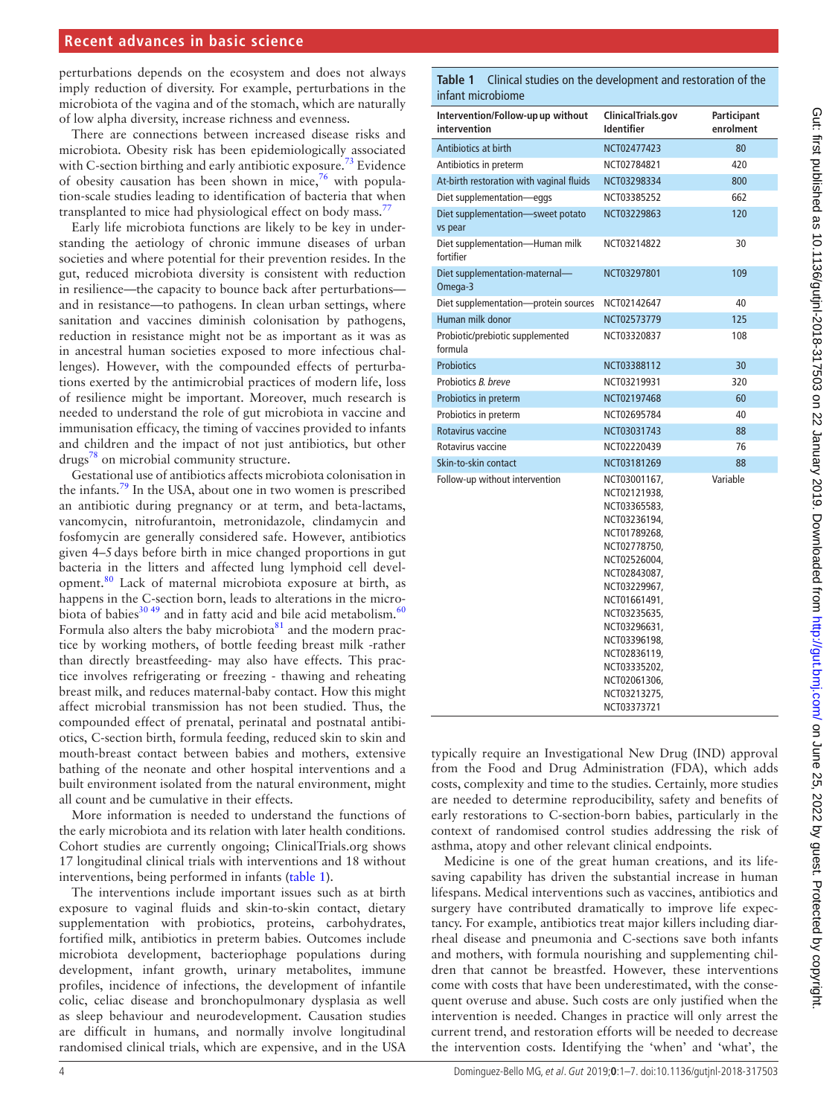perturbations depends on the ecosystem and does not always imply reduction of diversity. For example, perturbations in the microbiota of the vagina and of the stomach, which are naturally of low alpha diversity, increase richness and evenness.

There are connections between increased disease risks and microbiota. Obesity risk has been epidemiologically associated with C-section birthing and early antibiotic exposure.<sup>73</sup> Evidence of obesity causation has been shown in mice,<sup>[76](#page-6-23)</sup> with population-scale studies leading to identification of bacteria that when transplanted to mice had physiological effect on body mass.<sup>[77](#page-6-24)</sup>

Early life microbiota functions are likely to be key in understanding the aetiology of chronic immune diseases of urban societies and where potential for their prevention resides. In the gut, reduced microbiota diversity is consistent with reduction in resilience—the capacity to bounce back after perturbations and in resistance—to pathogens. In clean urban settings, where sanitation and vaccines diminish colonisation by pathogens, reduction in resistance might not be as important as it was as in ancestral human societies exposed to more infectious challenges). However, with the compounded effects of perturbations exerted by the antimicrobial practices of modern life, loss of resilience might be important. Moreover, much research is needed to understand the role of gut microbiota in vaccine and immunisation efficacy, the timing of vaccines provided to infants and children and the impact of not just antibiotics, but other drugs[78](#page-6-25) on microbial community structure.

Gestational use of antibiotics affects microbiota colonisation in the infants.[79](#page-6-26) In the USA, about one in two women is prescribed an antibiotic during pregnancy or at term, and beta-lactams, vancomycin, nitrofurantoin, metronidazole, clindamycin and fosfomycin are generally considered safe. However, antibiotics given 4–5days before birth in mice changed proportions in gut bacteria in the litters and affected lung lymphoid cell development.[80](#page-6-27) Lack of maternal microbiota exposure at birth, as happens in the C-section born, leads to alterations in the micro-biota of babies<sup>30,49</sup> and in fatty acid and bile acid metabolism.<sup>[60](#page-6-10)</sup> Formula also alters the baby microbiota $81$  and the modern practice by working mothers, of bottle feeding breast milk -rather than directly breastfeeding- may also have effects. This practice involves refrigerating or freezing - thawing and reheating breast milk, and reduces maternal-baby contact. How this might affect microbial transmission has not been studied. Thus, the compounded effect of prenatal, perinatal and postnatal antibiotics, C-section birth, formula feeding, reduced skin to skin and mouth-breast contact between babies and mothers, extensive bathing of the neonate and other hospital interventions and a built environment isolated from the natural environment, might all count and be cumulative in their effects.

More information is needed to understand the functions of the early microbiota and its relation with later health conditions. Cohort studies are currently ongoing; ClinicalTrials.org shows 17 longitudinal clinical trials with interventions and 18 without interventions, being performed in infants ([table](#page-3-0) 1).

The interventions include important issues such as at birth exposure to vaginal fluids and skin-to-skin contact, dietary supplementation with probiotics, proteins, carbohydrates, fortified milk, antibiotics in preterm babies. Outcomes include microbiota development, bacteriophage populations during development, infant growth, urinary metabolites, immune profiles, incidence of infections, the development of infantile colic, celiac disease and bronchopulmonary dysplasia as well as sleep behaviour and neurodevelopment. Causation studies are difficult in humans, and normally involve longitudinal randomised clinical trials, which are expensive, and in the USA

<span id="page-3-0"></span>**Table 1** Clinical studies on the development and restoration of the infant microbiome

| ClinicalTrials.gov<br><b>Identifier</b>                                                                                                                                                                                                                                      | Participant<br>enrolment |
|------------------------------------------------------------------------------------------------------------------------------------------------------------------------------------------------------------------------------------------------------------------------------|--------------------------|
| NCT02477423                                                                                                                                                                                                                                                                  | 80                       |
| NCT02784821                                                                                                                                                                                                                                                                  | 420                      |
| NCT03298334                                                                                                                                                                                                                                                                  | 800                      |
| NCT03385252                                                                                                                                                                                                                                                                  | 662                      |
| NCT03229863                                                                                                                                                                                                                                                                  | 120                      |
| NCT03214822                                                                                                                                                                                                                                                                  | 30                       |
| NCT03297801                                                                                                                                                                                                                                                                  | 109                      |
| NCT02142647                                                                                                                                                                                                                                                                  | 40                       |
| NCT02573779                                                                                                                                                                                                                                                                  | 125                      |
| NCT03320837                                                                                                                                                                                                                                                                  | 108                      |
| NCT03388112                                                                                                                                                                                                                                                                  | 30                       |
| NCT03219931                                                                                                                                                                                                                                                                  | 320                      |
| NCT02197468                                                                                                                                                                                                                                                                  | 60                       |
| NCT02695784                                                                                                                                                                                                                                                                  | 40                       |
| NCT03031743                                                                                                                                                                                                                                                                  | 88                       |
| NCT02220439                                                                                                                                                                                                                                                                  | 76                       |
| NCT03181269                                                                                                                                                                                                                                                                  | 88                       |
| NCT03001167,<br>NCT02121938,<br>NCT03365583,<br>NCT03236194,<br>NCT01789268,<br>NCT02778750,<br>NCT02526004,<br>NCT02843087,<br>NCT03229967,<br>NCT01661491,<br>NCT03235635,<br>NCT03296631,<br>NCT03396198,<br>NCT02836119.<br>NCT03335202,<br>NCT02061306,<br>NCT03213275, | Variable                 |
|                                                                                                                                                                                                                                                                              | NCT03373721              |

typically require an Investigational New Drug (IND) approval from the Food and Drug Administration (FDA), which adds costs, complexity and time to the studies. Certainly, more studies are needed to determine reproducibility, safety and benefits of early restorations to C-section-born babies, particularly in the context of randomised control studies addressing the risk of asthma, atopy and other relevant clinical endpoints.

Medicine is one of the great human creations, and its lifesaving capability has driven the substantial increase in human lifespans. Medical interventions such as vaccines, antibiotics and surgery have contributed dramatically to improve life expectancy. For example, antibiotics treat major killers including diarrheal disease and pneumonia and C-sections save both infants and mothers, with formula nourishing and supplementing children that cannot be breastfed. However, these interventions come with costs that have been underestimated, with the consequent overuse and abuse. Such costs are only justified when the intervention is needed. Changes in practice will only arrest the current trend, and restoration efforts will be needed to decrease the intervention costs. Identifying the 'when' and 'what', the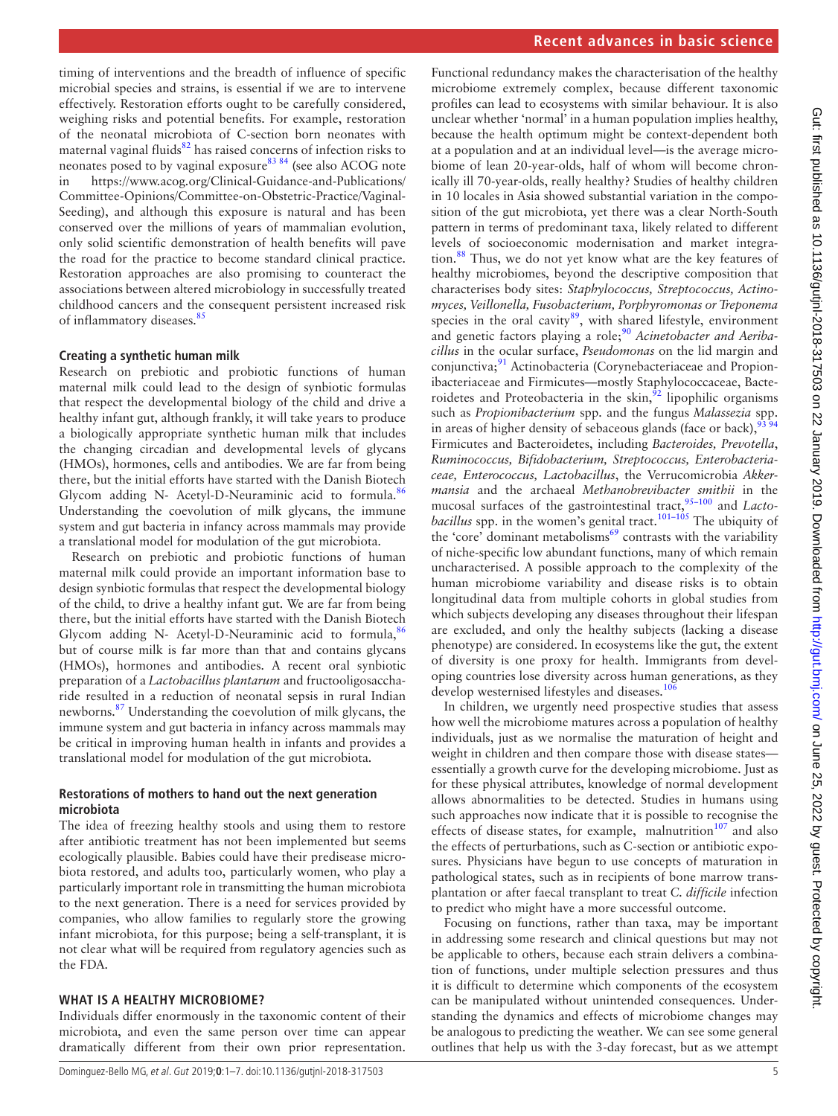timing of interventions and the breadth of influence of specific microbial species and strains, is essential if we are to intervene effectively. Restoration efforts ought to be carefully considered, weighing risks and potential benefits. For example, restoration of the neonatal microbiota of C-section born neonates with maternal vaginal fluids<sup>82</sup> has raised concerns of infection risks to neonates posed to by vaginal exposure<sup>83 84</sup> (see also ACOG note in [https://www.acog.org/Clinical-Guidance-and-Publications/](https://www.acog.org/Clinical-Guidance-and-Publications/Committee-Opinions/Committee-on-Obstetric-Practice/Vaginal-Seeding) [Committee-Opinions/Committee-on-Obstetric-Practice/Vaginal-](https://www.acog.org/Clinical-Guidance-and-Publications/Committee-Opinions/Committee-on-Obstetric-Practice/Vaginal-Seeding)[Seeding\)](https://www.acog.org/Clinical-Guidance-and-Publications/Committee-Opinions/Committee-on-Obstetric-Practice/Vaginal-Seeding), and although this exposure is natural and has been conserved over the millions of years of mammalian evolution, only solid scientific demonstration of health benefits will pave the road for the practice to become standard clinical practice. Restoration approaches are also promising to counteract the associations between altered microbiology in successfully treated childhood cancers and the consequent persistent increased risk of inflammatory diseases.<sup>[85](#page-6-31)</sup>

## **Creating a synthetic human milk**

Research on prebiotic and probiotic functions of human maternal milk could lead to the design of synbiotic formulas that respect the developmental biology of the child and drive a healthy infant gut, although frankly, it will take years to produce a biologically appropriate synthetic human milk that includes the changing circadian and developmental levels of glycans (HMOs), hormones, cells and antibodies. We are far from being there, but the initial efforts have started with the Danish Biotech Glycom adding N- Acetyl-D-Neuraminic acid to formula.<sup>[86](#page-6-32)</sup> Understanding the coevolution of milk glycans, the immune system and gut bacteria in infancy across mammals may provide a translational model for modulation of the gut microbiota.

Research on prebiotic and probiotic functions of human maternal milk could provide an important information base to design synbiotic formulas that respect the developmental biology of the child, to drive a healthy infant gut. We are far from being there, but the initial efforts have started with the Danish Biotech Glycom adding N- Acetyl-D-Neuraminic acid to formula,  $86$ but of course milk is far more than that and contains glycans (HMOs), hormones and antibodies. A recent oral synbiotic preparation of a *Lactobacillus plantarum* and fructooligosaccharide resulted in a reduction of neonatal sepsis in rural Indian newborns.[87](#page-6-33) Understanding the coevolution of milk glycans, the immune system and gut bacteria in infancy across mammals may be critical in improving human health in infants and provides a translational model for modulation of the gut microbiota.

## **Restorations of mothers to hand out the next generation microbiota**

The idea of freezing healthy stools and using them to restore after antibiotic treatment has not been implemented but seems ecologically plausible. Babies could have their predisease microbiota restored, and adults too, particularly women, who play a particularly important role in transmitting the human microbiota to the next generation. There is a need for services provided by companies, who allow families to regularly store the growing infant microbiota, for this purpose; being a self-transplant, it is not clear what will be required from regulatory agencies such as the FDA.

## **What is a healthy microbiome?**

Individuals differ enormously in the taxonomic content of their microbiota, and even the same person over time can appear dramatically different from their own prior representation.

Functional redundancy makes the characterisation of the healthy microbiome extremely complex, because different taxonomic profiles can lead to ecosystems with similar behaviour. It is also unclear whether 'normal' in a human population implies healthy, because the health optimum might be context-dependent both at a population and at an individual level—is the average microbiome of lean 20-year-olds, half of whom will become chronically ill 70-year-olds, really healthy? Studies of healthy children in 10 locales in Asia showed substantial variation in the composition of the gut microbiota, yet there was a clear North-South pattern in terms of predominant taxa, likely related to different levels of socioeconomic modernisation and market integration.[88](#page-6-34) Thus, we do not yet know what are the key features of healthy microbiomes, beyond the descriptive composition that characterises body sites: *Staphylococcus, Streptococcus, Actinomyces, Veillonella, Fusobacterium, Porphyromonas or Treponema*  species in the oral cavity $89$ , with shared lifestyle, environment and genetic factors playing a role;<sup>90</sup> Acinetobacter and Aeriba*cillus* in the ocular surface, *Pseudomonas* on the lid margin and conjunctiva;<sup>91</sup> Actinobacteria (Corynebacteriaceae and Propionibacteriaceae and Firmicutes—mostly Staphylococcaceae, Bacteroidetes and Proteobacteria in the skin, $\frac{92}{2}$  $\frac{92}{2}$  $\frac{92}{2}$  lipophilic organisms such as *Propionibacterium* spp. and the fungus *Malassezia* spp. in areas of higher density of sebaceous glands (face or back), $\frac{3}{2}$ Firmicutes and Bacteroidetes, including *Bacteroides, Prevotella*, *Ruminococcus, Bifidobacterium, Streptococcus, Enterobacteriaceae, Enterococcus, Lactobacillus*, the Verrucomicrobia *Akkermansia* and the archaeal *Methanobrevibacter smithii* in the mucosal surfaces of the gastrointestinal tract,<sup>95-100</sup> and *Lactobacillus* spp. in the women's genital tract.<sup>[101–105](#page-6-41)</sup> The ubiquity of the 'core' dominant metabolisms<sup>[69](#page-6-19)</sup> contrasts with the variability of niche-specific low abundant functions, many of which remain uncharacterised. A possible approach to the complexity of the human microbiome variability and disease risks is to obtain longitudinal data from multiple cohorts in global studies from which subjects developing any diseases throughout their lifespan are excluded, and only the healthy subjects (lacking a disease phenotype) are considered. In ecosystems like the gut, the extent of diversity is one proxy for health. Immigrants from developing countries lose diversity across human generations, as they develop westernised lifestyles and diseases.<sup>[106](#page-6-42)</sup>

In children, we urgently need prospective studies that assess how well the microbiome matures across a population of healthy individuals, just as we normalise the maturation of height and weight in children and then compare those with disease states essentially a growth curve for the developing microbiome. Just as for these physical attributes, knowledge of normal development allows abnormalities to be detected. Studies in humans using such approaches now indicate that it is possible to recognise the effects of disease states, for example, malnutrition $107$  and also the effects of perturbations, such as C-section or antibiotic exposures. Physicians have begun to use concepts of maturation in pathological states, such as in recipients of bone marrow transplantation or after faecal transplant to treat *C. difficile* infection to predict who might have a more successful outcome.

Focusing on functions, rather than taxa, may be important in addressing some research and clinical questions but may not be applicable to others, because each strain delivers a combination of functions, under multiple selection pressures and thus it is difficult to determine which components of the ecosystem can be manipulated without unintended consequences. Understanding the dynamics and effects of microbiome changes may be analogous to predicting the weather. We can see some general outlines that help us with the 3-day forecast, but as we attempt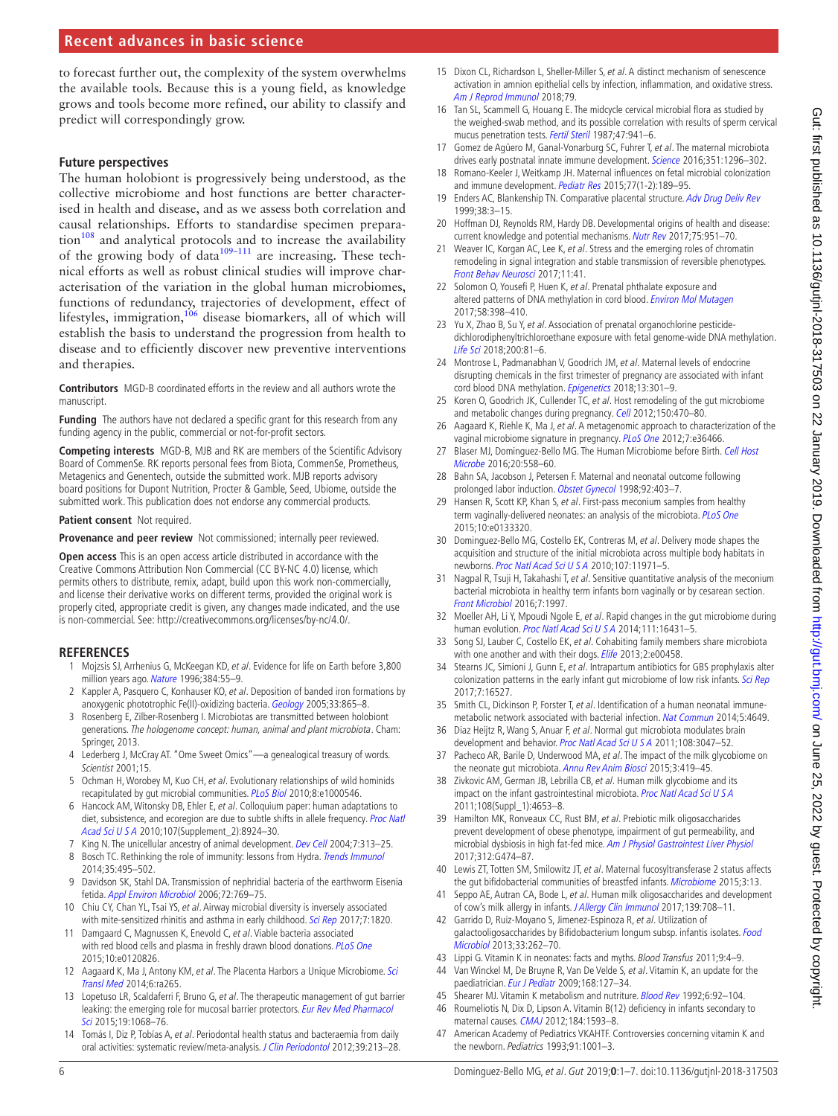## **Recent advances in basic science**

to forecast further out, the complexity of the system overwhelms the available tools. Because this is a young field, as knowledge grows and tools become more refined, our ability to classify and predict will correspondingly grow.

#### **Future perspectives**

The human holobiont is progressively being understood, as the collective microbiome and host functions are better characterised in health and disease, and as we assess both correlation and causal relationships. Efforts to standardise specimen prepara- $\text{tion}^{108}$  $\text{tion}^{108}$  $\text{tion}^{108}$  and analytical protocols and to increase the availability of the growing body of data $109-111$  are increasing. These technical efforts as well as robust clinical studies will improve characterisation of the variation in the global human microbiomes, functions of redundancy, trajectories of development, effect of lifestyles, immigration,  $106$  disease biomarkers, all of which will establish the basis to understand the progression from health to disease and to efficiently discover new preventive interventions and therapies.

**Contributors** MGD-B coordinated efforts in the review and all authors wrote the manuscript.

**Funding** The authors have not declared a specific grant for this research from any funding agency in the public, commercial or not-for-profit sectors.

**Competing interests** MGD-B, MJB and RK are members of the Scientific Advisory Board of CommenSe. RK reports personal fees from Biota, CommenSe, Prometheus, Metagenics and Genentech, outside the submitted work. MJB reports advisory board positions for Dupont Nutrition, Procter & Gamble, Seed, Ubiome, outside the submitted work. This publication does not endorse any commercial products.

#### **Patient consent** Not required.

**Provenance and peer review** Not commissioned; internally peer reviewed.

**Open access** This is an open access article distributed in accordance with the Creative Commons Attribution Non Commercial (CC BY-NC 4.0) license, which permits others to distribute, remix, adapt, build upon this work non-commercially, and license their derivative works on different terms, provided the original work is properly cited, appropriate credit is given, any changes made indicated, and the use is non-commercial. See: <http://creativecommons.org/licenses/by-nc/4.0/>.

#### **References**

- <span id="page-5-0"></span>1 Mojzsis SJ, Arrhenius G, McKeegan KD, et al. Evidence for life on Earth before 3,800 million years ago. [Nature](http://dx.doi.org/10.1038/384055a0) 1996;384:55-9.
- <span id="page-5-1"></span>Kappler A, Pasquero C, Konhauser KO, et al. Deposition of banded iron formations by anoxygenic phototrophic Fe(II)-oxidizing bacteria. [Geology](http://dx.doi.org/10.1130/G21658.1) 2005;33:865-8.
- <span id="page-5-2"></span>3 Rosenberg E, Zilber-Rosenberg I. Microbiotas are transmitted between holobiont generations. The hologenome concept: human, animal and plant microbiota. Cham: Springer, 2013.
- <span id="page-5-3"></span>4 Lederberg J, McCray AT. "Ome Sweet Omics"—a genealogical treasury of words. Scientist 2001;15.
- <span id="page-5-4"></span>5 Ochman H, Worobey M, Kuo CH, et al. Evolutionary relationships of wild hominids recapitulated by gut microbial communities. [PLoS Biol](http://dx.doi.org/10.1371/journal.pbio.1000546) 2010;8:e1000546.
- <span id="page-5-5"></span>6 Hancock AM, Witonsky DB, Ehler E, et al. Colloquium paper: human adaptations to diet, subsistence, and ecoregion are due to subtle shifts in allele frequency. Proc Natl [Acad Sci U S A](http://dx.doi.org/10.1073/pnas.0914625107) 2010;107(Supplement\_2):8924–30.
- <span id="page-5-6"></span>7 King N. The unicellular ancestry of animal development. [Dev Cell](http://dx.doi.org/10.1016/j.devcel.2004.08.010) 2004;7:313-25.
- <span id="page-5-7"></span>8 Bosch TC. Rethinking the role of immunity: lessons from Hydra. [Trends Immunol](http://dx.doi.org/10.1016/j.it.2014.07.008) 2014;35:495–502.
- <span id="page-5-8"></span>9 Davidson SK, Stahl DA. Transmission of nephridial bacteria of the earthworm Eisenia fetida. [Appl Environ Microbiol](http://dx.doi.org/10.1128/AEM.72.1.769-775.2006) 2006;72:769–75.
- <span id="page-5-9"></span>10 Chiu CY, Chan YL, Tsai YS, et al. Airway microbial diversity is inversely associated with mite-sensitized rhinitis and asthma in early childhood. [Sci Rep](http://dx.doi.org/10.1038/s41598-017-02067-7) 2017;7:1820.
- <span id="page-5-10"></span>11 Damgaard C, Magnussen K, Enevold C, et al. Viable bacteria associated with red blood cells and plasma in freshly drawn blood donations. [PLoS One](http://dx.doi.org/10.1371/journal.pone.0120826) 2015;10:e0120826.
- <span id="page-5-11"></span>12 Aagaard K, Ma J, Antony KM, et al. The Placenta Harbors a Unique Microbiome. Sci [Transl Med](http://dx.doi.org/10.1126/scitranslmed.3008599) 2014;6:ra265.
- <span id="page-5-12"></span>13 Lopetuso LR, Scaldaferri F, Bruno G, et al. The therapeutic management of gut barrier leaking: the emerging role for mucosal barrier protectors. Eur Rev Med Pharmacol [Sci](http://www.ncbi.nlm.nih.gov/pubmed/25855934) 2015;19:1068–76.
- <span id="page-5-13"></span>14 Tomás I, Diz P, Tobías A, et al. Periodontal health status and bacteraemia from daily oral activities: systematic review/meta-analysis. [J Clin Periodontol](http://dx.doi.org/10.1111/j.1600-051X.2011.01784.x) 2012;39:213-28.
- <span id="page-5-14"></span>15 Dixon CL, Richardson L, Sheller-Miller S, et al. A distinct mechanism of senescence activation in amnion epithelial cells by infection, inflammation, and oxidative stress. [Am J Reprod Immunol](http://dx.doi.org/10.1111/aji.12790) 2018;79.
- 16 Tan SL, Scammell G, Houang E. The midcycle cervical microbial flora as studied by the weighed-swab method, and its possible correlation with results of sperm cervical mucus penetration tests. [Fertil Steril](http://dx.doi.org/10.1016/S0015-0282(16)59227-9) 1987;47:941–6.
- <span id="page-5-15"></span>17 Gomez de Agüero M, Ganal-Vonarburg SC, Fuhrer T, et al. The maternal microbiota drives early postnatal innate immune development. [Science](http://dx.doi.org/10.1126/science.aad2571) 2016;351:1296-302.
- 18 Romano-Keeler J, Weitkamp JH. Maternal influences on fetal microbial colonization and immune development. [Pediatr Res](http://dx.doi.org/10.1038/pr.2014.163) 2015;77(1-2):189-95.
- 19 Enders AC, Blankenship TN. Comparative placental structure. [Adv Drug Deliv Rev](http://dx.doi.org/10.1016/S0169-409X(99)00003-4) 1999;38:3–15.
- <span id="page-5-16"></span>20 Hoffman DJ, Reynolds RM, Hardy DB. Developmental origins of health and disease: current knowledge and potential mechanisms. [Nutr Rev](http://dx.doi.org/10.1093/nutrit/nux053) 2017;75:951-70.
- <span id="page-5-17"></span>21 Weaver IC, Korgan AC, Lee K, et al. Stress and the emerging roles of chromatin remodeling in signal integration and stable transmission of reversible phenotypes. [Front Behav Neurosci](http://dx.doi.org/10.3389/fnbeh.2017.00041) 2017;11:41.
- <span id="page-5-18"></span>22 Solomon O, Yousefi P, Huen K, et al. Prenatal phthalate exposure and altered patterns of DNA methylation in cord blood. [Environ Mol Mutagen](http://dx.doi.org/10.1002/em.22095) 2017;58:398–410.
- 23 Yu X, Zhao B, Su Y, et al. Association of prenatal organochlorine pesticidedichlorodiphenyltrichloroethane exposure with fetal genome-wide DNA methylation. [Life Sci](http://dx.doi.org/10.1016/j.lfs.2018.03.030) 2018;200:81–6.
- 24 Montrose L, Padmanabhan V, Goodrich JM, et al. Maternal levels of endocrine disrupting chemicals in the first trimester of pregnancy are associated with infant cord blood DNA methylation. [Epigenetics](http://dx.doi.org/10.1080/15592294.2018.1448680) 2018;13:301-9.
- <span id="page-5-19"></span>25 Koren O, Goodrich JK, Cullender TC, et al. Host remodeling of the gut microbiome and metabolic changes during pregnancy. [Cell](http://dx.doi.org/10.1016/j.cell.2012.07.008) 2012;150:470-80.
- <span id="page-5-20"></span>26 Aagaard K, Riehle K, Ma J, et al. A metagenomic approach to characterization of the vaginal microbiome signature in pregnancy. [PLoS One](http://dx.doi.org/10.1371/journal.pone.0036466) 2012;7:e36466.
- <span id="page-5-21"></span>27 Blaser MJ, Dominguez-Bello MG. The Human Microbiome before Birth. Cell Host [Microbe](http://dx.doi.org/10.1016/j.chom.2016.10.014) 2016;20:558–60.
- <span id="page-5-22"></span>28 Bahn SA, Jacobson J, Petersen F. Maternal and neonatal outcome following prolonged labor induction. [Obstet Gynecol](http://www.ncbi.nlm.nih.gov/pubmed/9721779) 1998;92:403-7.
- <span id="page-5-23"></span>29 Hansen R, Scott KP, Khan S, et al. First-pass meconium samples from healthy term vaginally-delivered neonates: an analysis of the microbiota. [PLoS One](http://dx.doi.org/10.1371/journal.pone.0133320) 2015;10:e0133320.
- <span id="page-5-39"></span>30 Dominguez-Bello MG, Costello EK, Contreras M, et al. Delivery mode shapes the acquisition and structure of the initial microbiota across multiple body habitats in newborns. [Proc Natl Acad Sci U S A](http://dx.doi.org/10.1073/pnas.1002601107) 2010;107:11971–5.
- <span id="page-5-24"></span>31 Nagpal R, Tsuji H, Takahashi T, et al. Sensitive quantitative analysis of the meconium bacterial microbiota in healthy term infants born vaginally or by cesarean section. [Front Microbiol](http://dx.doi.org/10.3389/fmicb.2016.01997) 2016;7:1997.
- <span id="page-5-25"></span>32 Moeller AH, Li Y, Mpoudi Ngole E, et al. Rapid changes in the gut microbiome during human evolution. [Proc Natl Acad Sci U S A](http://dx.doi.org/10.1073/pnas.1419136111) 2014;111:16431-5.
- <span id="page-5-26"></span>33 Song SJ, Lauber C, Costello EK, et al. Cohabiting family members share microbiota with one another and with their dogs. *[Elife](http://dx.doi.org/10.7554/eLife.00458)* 2013;2:e00458.
- <span id="page-5-27"></span>34 Stearns JC, Simioni J, Gunn E, et al. Intrapartum antibiotics for GBS prophylaxis alter colonization patterns in the early infant gut microbiome of low risk infants. [Sci Rep](http://dx.doi.org/10.1038/s41598-017-16606-9) 2017;7:16527.
- <span id="page-5-28"></span>35 Smith CL, Dickinson P, Forster T, et al. Identification of a human neonatal immune-metabolic network associated with bacterial infection. [Nat Commun](http://dx.doi.org/10.1038/ncomms5649) 2014;5:4649.
- 36 Diaz Heijtz R, Wang S, Anuar F, et al. Normal gut microbiota modulates brain development and behavior. [Proc Natl Acad Sci U S A](http://dx.doi.org/10.1073/pnas.1010529108) 2011;108:3047-52.
- <span id="page-5-29"></span>37 Pacheco AR, Barile D, Underwood MA, et al. The impact of the milk glycobiome on the neonate gut microbiota. [Annu Rev Anim Biosci](http://dx.doi.org/10.1146/annurev-animal-022114-111112) 2015;3:419-45.
- <span id="page-5-30"></span>38 Zivkovic AM, German JB, Lebrilla CB, et al. Human milk glycobiome and its impact on the infant gastrointestinal microbiota. [Proc Natl Acad Sci U S A](http://dx.doi.org/10.1073/pnas.1000083107) 2011;108(Suppl\_1):4653–8.
- 39 Hamilton MK, Ronveaux CC, Rust BM, et al. Prebiotic milk oligosaccharides prevent development of obese phenotype, impairment of gut permeability, and microbial dysbiosis in high fat-fed mice. [Am J Physiol Gastrointest Liver Physiol](http://dx.doi.org/10.1152/ajpgi.00427.2016) 2017;312:G474–87.
- <span id="page-5-31"></span>Lewis ZT, Totten SM, Smilowitz JT, et al. Maternal fucosyltransferase 2 status affects the gut bifidobacterial communities of breastfed infants. [Microbiome](http://dx.doi.org/10.1186/s40168-015-0071-z) 2015;3:13.
- <span id="page-5-32"></span>41 Seppo AE, Autran CA, Bode L, et al. Human milk oligosaccharides and development of cow's milk allergy in infants. [J Allergy Clin Immunol](http://dx.doi.org/10.1016/j.jaci.2016.08.031) 2017;139:708-11.
- <span id="page-5-33"></span>42 Garrido D, Ruiz-Moyano S, Jimenez-Espinoza R, et al. Utilization of galactooligosaccharides by Bifidobacterium longum subsp. infantis isolates. Food [Microbiol](http://dx.doi.org/10.1016/j.fm.2012.10.003) 2013;33:262–70.
- <span id="page-5-34"></span>43 Lippi G. Vitamin K in neonates: facts and myths. Blood Transfus 2011;9:4-9.
- <span id="page-5-35"></span>44 Van Winckel M, De Bruyne R, Van De Velde S, et al. Vitamin K, an update for the paediatrician. [Eur J Pediatr](http://dx.doi.org/10.1007/s00431-008-0856-1) 2009;168:127–34.
- <span id="page-5-36"></span>45 Shearer MJ. Vitamin K metabolism and nutriture. [Blood Rev](http://dx.doi.org/10.1016/0268-960X(92)90011-E) 1992;6:92-104.
- <span id="page-5-37"></span>46 Roumeliotis N, Dix D, Lipson A. Vitamin B(12) deficiency in infants secondary to maternal causes. [CMAJ](http://dx.doi.org/10.1503/cmaj.112170) 2012;184:1593–8.
- <span id="page-5-38"></span>47 American Academy of Pediatrics VKAHTF. Controversies concerning vitamin K and the newborn. Pediatrics 1993;91:1001-3.